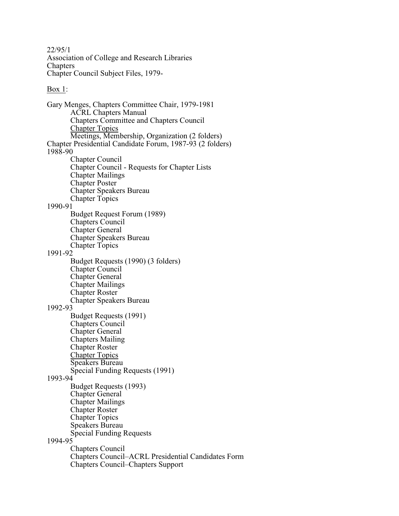22/95/1 Association of College and Research Libraries Chapters Chapter Council Subject Files, 1979-

## Box 1:

Gary Menges, Chapters Committee Chair, 1979-1981 ACRL Chapters Manual Chapters Committee and Chapters Council Chapter Topics Meetings, Membership, Organization (2 folders) Chapter Presidential Candidate Forum, 1987-93 (2 folders) 1988-90 Chapter Council Chapter Council - Requests for Chapter Lists Chapter Mailings Chapter Poster Chapter Speakers Bureau Chapter Topics 1990-91 Budget Request Forum (1989) Chapters Council Chapter General Chapter Speakers Bureau Chapter Topics 1991-92 Budget Requests (1990) (3 folders) Chapter Council Chapter General Chapter Mailings Chapter Roster Chapter Speakers Bureau 1992-93 Budget Requests (1991) Chapters Council Chapter General Chapters Mailing Chapter Roster Chapter Topics Speakers Bureau Special Funding Requests (1991) 1993-94 Budget Requests (1993) Chapter General Chapter Mailings Chapter Roster Chapter Topics Speakers Bureau Special Funding Requests 1994-95 Chapters Council Chapters Council–ACRL Presidential Candidates Form Chapters Council–Chapters Support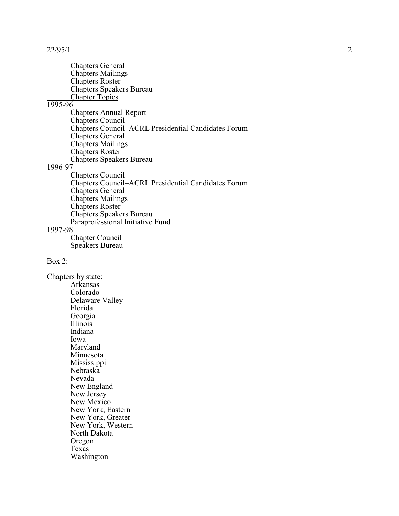22/95/1

Chapters Genera l Chapters Mailings Chapters Roster Chapters Speakers Bureau Chapter Topic s 1995-96 Chapters Annual Report Chapters Council Chapters Council–ACRL Presidential Candidates Forum Chapters Genera l Chapters Mailings Chapters Roster Chapters Speakers Bureau 1996-97 Chapters Council Chapters Council–ACRL Presidential Candidates Forum Chapters Genera l Chapters Mailings Chapters Roster Chapters Speakers Bureau Paraprofessional Initiative Fund 1997-98 Chapter Council Speakers Bureau

## Box 2:

Chapters by state: Arkansas Colorado Delaware Valley Florida Geor gia Illinois Indiana Iowa Maryland Minnesota Mississippi Nebraska Nevada New England New Jersey New Me xico New York, Eastern New York, Greater New York, Western North D akota Ore gon Texas Washington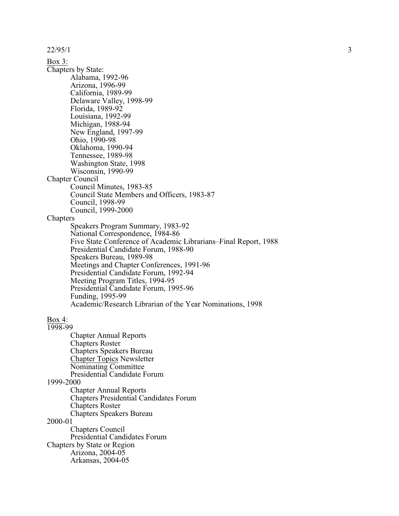22/95/1 Box 3: Chapters by State: Alabama, 1992-96 Arizona, 1996-99 California, 1989-99 Delaware Valley, 1998-99<br>Florida, 1989-92 Louisiana, 1992-99 Michigan, 1988-94 New England, 1997-99 Ohio, 1990-98 Oklahoma, 1990-94 Tennessee, 1989-98 Washington State, 1998 Wisconsin, 1990-99 Chapter Council Council Minutes, 1983-85 Council State Members and Officers, 1983-87 Council, 1998-99 Council, 1999-2000 Chapters Speakers Program Summary, 1983-92 National Correspondence, 1984-86 Five State Conference of Academic Librarians–Final Report, 1988 Presidential Candidate Forum, 1988-90 Speakers Bureau, 1989-98 Meetings and Chapter Conferences, 1991-96 Presidential Candidate Forum, 1992-94 Meeting Program Titles, 1994-95 Presidential Candidate Forum, 1995-96 Funding, 1995-99 Academic/Research Librarian of the Year Nominations, 1998 Box 4: 1998-99 Chapter Annual Report s Chapters Roster Chapters Speakers Bureau Chapter Topics Newsletter Nominating Committee Presidential Candidate Forum 1999-2000 Chapter Annual Report s Chapters Presidential Candidates Forum Chapters Roster Chapters Speakers Bureau 2000-01

Chapters Council Presidential Candidates Forum Chapters by State or Region Arizona, 2004-05 Arkansas, 2004-05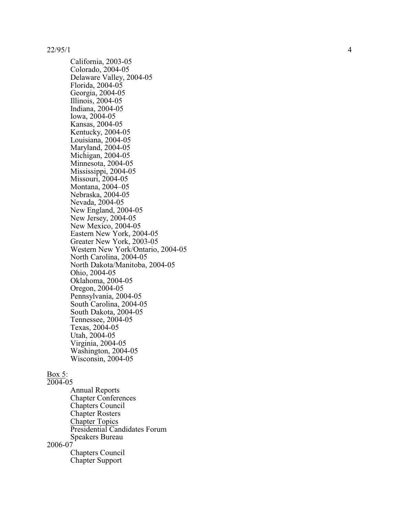## 22/95/1

California, 2003-05 Colorado, 2004-05 Delaware Valley, 2004-05 Florida, 2004-05 Geor gia, 2004-05 Illinois, 2004-05 Indiana, 2004-05 Iowa, 2004-05 Kansas, 2004-05 Louisiana, 2004-05 Maryland, 2004-05 Michigan, 2004-05 Minnesota, 2004-05 Mississippi, 2004-05 Missouri, 2004-05 Montana, 2004–05 Nebraska, 2004-05 Nevada, 2004-05 New England, 2004-05 New Jersey, 2004-05 New Me xico, 2004-05 Eastern New York, 2004-05 Greater New York, 2003-05 Western New York/Ontario, 2004-05 North Carolina, 2004-05 North Dakota/Manitoba, 2004-05 Ohio, 2004-05 Oklahoma, 2004-05 Ore gon, 2004-05 Pennsylvania, 2004-05 South Carolina, 2004-05 South Dakota, 2004-05 Tennessee, 2004-05 Texas, 2004-05 Utah, 2004-05 Virginia, 2004-05 Washington, 2004-05 Wisconsin, 2004-05

## Box 5: 2004-05

Annu al Report s Chapter Conferences Chapters Council Chapter Rosters Chapter Topic s Presidential Candidates Forum Speakers Bureau 2006-07 Chapters Council Chapter Support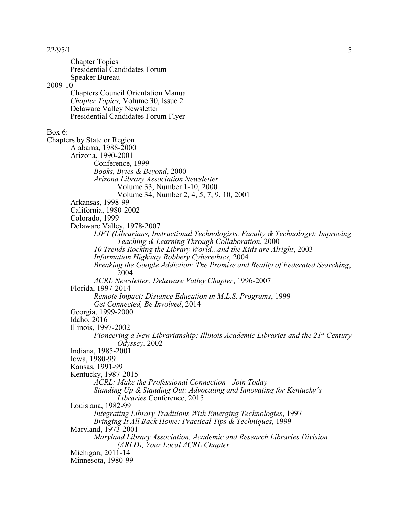22/95/1 5 Chapter Topics Presidential Candidates Forum Speaker Bureau 2009-10 Chapters Council Orientation Manual *Chapter Topics,* Volume 30, Issue 2 Delaware Valley Newsletter Presidential Candidates Forum Flyer Box 6: Chapters by State or Region Alabama, 1988-2000 Arizona, 1990-2001 Conference, 1999 *Books, Bytes & Beyond*, 2000 *Arizona Library Association Newsletter* Volume 33, Number 1-10, 2000 Volume 34, Number 2, 4, 5, 7, 9, 10, 2001 Arkansas, 1998-99 California, 1980-2002 Colorado, 1999 Delaware Valley, 1978-2007 *LIFT (Librarians, Instructional Technologists, Faculty & Technology): Improving Teaching & Learning Through Collaboration*, 2000 *10 Trends Rocking the Library World...and the Kids are Alright*, 2003 *Information Highway Robbery Cyberethics*, 2004 *Breaking the Google Addiction: The Promise and Reality of Federated Searching*, 2004 *ACRL Newsletter: Delaware Valley Chapter*, 1996-2007 Florida, 1997-2014 *Remote Impact: Distance Education in M.L.S. Programs*, 1999 *Get Connected, Be Involved*, 2014 Georgia, 1999-2000 Idaho, 2016 Illinois, 1997-2002 *Pioneering a New Librarianship: Illinois Academic Libraries and the 21st Century Odyssey*, 2002 Indiana, 1985-2001 Iowa, 1980-99 Kansas, 1991-99 Kentucky, 1987-2015 *ACRL: Make the Professional Connection - Join Today Standing Up & Standing Out: Advocating and Innovating for Kentucky's Libraries* Conference, 2015 Louisiana, 1982-99 *Integrating Library Traditions With Emerging Technologies*, 1997 *Bringing It All Back Home: Practical Tips & Techniques*, 1999 Maryland, 1973-2001 *Maryland Library Association, Academic and Research Libraries Division (ARLD), Your Local ACRL Chapter* Michigan, 2011-14 Minnesota, 1980-99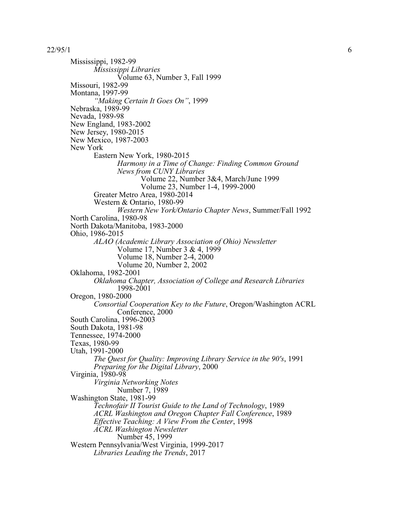Mississippi, 1982-99 *Mississippi Libraries* Volume 63, Number 3, Fall 1999 Missouri, 1982-99 Montana, 1997-99 *"Making Certain It Goes On"*, 1999 Nebraska, 1989-99 Nevada, 1989-98 New England, 1983-2002 New Jersey, 1980-2015 New Mexico, 1987-2003 New York Eastern New York, 1980-2015 *Harmony in a Time of Change: Finding Common Ground News from CUNY Libraries* Volume 22, Number 3&4, March/June 1999 Volume 23, Number 1-4, 1999-2000 Greater Metro Area, 1980-2014 Western & Ontario, 1980-99 *Western New York/Ontario Chapter News*, Summer/Fall 1992 North Carolina, 1980-98 North Dakota/Manitoba, 1983-2000 Ohio, 1986-2015 *ALAO (Academic Library Association of Ohio) Newsletter* Volume 17, Number 3 & 4, 1999 Volume 18, Number 2-4, 2000 Volume 20, Number 2, 2002 Oklahoma, 1982-2001 *Oklahoma Chapter, Association of College and Research Libraries* 1998-2001 Oregon, 1980-2000 *Consortial Cooperation Key to the Future*, Oregon/Washington ACRL Conference, 2000 South Carolina, 1996-2003 South Dakota, 1981-98 Tennessee, 1974-2000 Texas, 1980-99 Utah, 1991-2000 *The Quest for Quality: Improving Library Service in the 90's*, 1991 *Preparing for the Digital Library*, 2000 Virginia, 1980-98 *Virginia Networking Notes* Number 7, 1989 Washington State, 1981-99 *Technofair II Tourist Guide to the Land of Technology*, 1989 *ACRL Washington and Oregon Chapter Fall Conference*, 1989 *Effective Teaching: A View From the Center*, 1998 *ACRL Washington Newsletter* Number 45, 1999 Western Pennsylvania/West Virginia, 1999-2017 *Libraries Leading the Trends*, 2017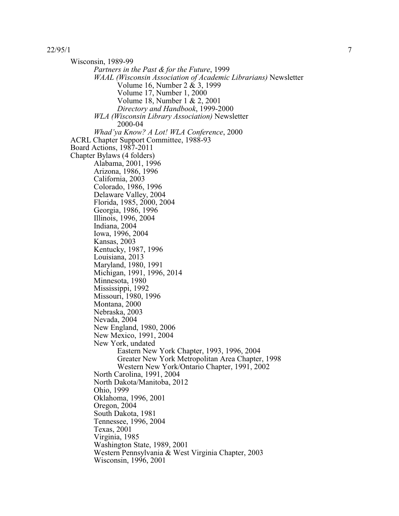Wisconsin, 1989-99 *Partners in the Past & for the Future*, 1999 *WAAL (Wisconsin Association of Academic Librarians)* Newsletter Volume 16, Number 2 & 3, 1999 Volume 17, Number 1, 2000 Volume 18, Number 1 & 2, 2001 *Directory and Handbook*, 1999-2000 *WLA (Wisconsin Library Association)* Newsletter 2000-04 *Whad'ya Know? A Lot! WLA Conference*, 2000 ACRL Chapter Support Committee, 1988-93 Board Actions, 1987-2011 Chapter Bylaws (4 folders) Alabama, 2001, 1996 Arizona, 1986, 1996 California, 2003 Colorado, 1986, 1996 Delaware Valley, 2004 Florida, 1985, 2000, 2004 Georgia, 1986, 1996 Illinois, 1996, 2004 Indiana, 2004 Iowa, 1996, 2004 Kansas, 2003 Kentucky, 1987, 1996 Louisiana, 2013 Maryland, 1980, 1991 Michigan, 1991, 1996, 2014 Minnesota, 1980 Mississippi, 1992 Missouri, 1980, 1996 Montana, 2000 Nebraska, 2003 Nevada, 2004 New England, 1980, 2006 New Mexico, 1991, 2004 New York, undated Eastern New York Chapter, 1993, 1996, 2004 Greater New York Metropolitan Area Chapter, 1998 Western New York/Ontario Chapter, 1991, 2002 North Carolina, 1991, 2004 North Dakota/Manitoba, 2012 Ohio, 1999 Oklahoma, 1996, 2001 Oregon, 2004 South Dakota, 1981 Tennessee, 1996, 2004 Texas, 2001 Virginia, 1985 Washington State, 1989, 2001 Western Pennsylvania & West Virginia Chapter, 2003 Wisconsin, 1996, 2001